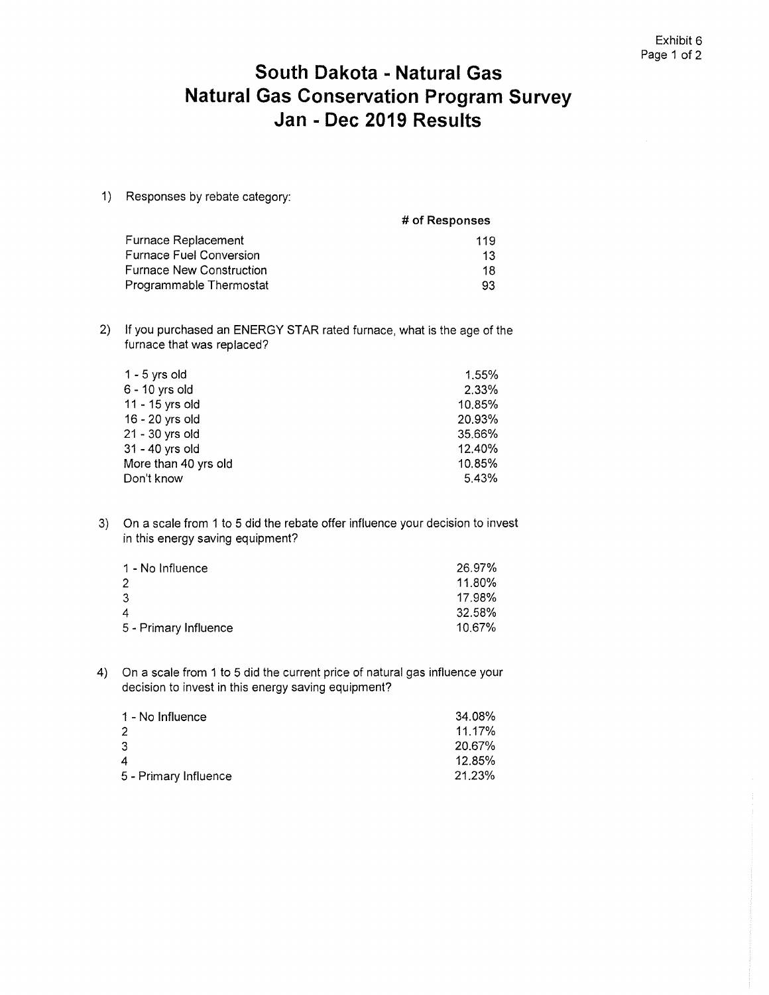## **South Dakota - Natural Gas Natural Gas Conservation Program Survey Jan - Dec 2019 Results**

1) Responses by rebate category:

|                                 | # of Responses |
|---------------------------------|----------------|
| Furnace Replacement             | 119            |
| <b>Furnace Fuel Conversion</b>  | 13             |
| <b>Furnace New Construction</b> | 18             |
| Programmable Thermostat         | 93             |

2) If you purchased an ENERGY STAR rated furnace, what is the age of the furnace that was replaced?

| 1 - 5 yrs old        | 1.55%  |
|----------------------|--------|
| 6 - 10 yrs old       | 2.33%  |
| 11 - 15 yrs old      | 10.85% |
| 16 - 20 yrs old      | 20.93% |
| 21 - 30 yrs old      | 35.66% |
| 31 - 40 yrs old      | 12.40% |
| More than 40 yrs old | 10.85% |
| Don't know           | 5.43%  |

3) On a scale from 1 to 5 did the rebate offer influence your decision to invest in this energy saving equipment?

| 1 - No Influence      | 26.97% |
|-----------------------|--------|
|                       | 11.80% |
| 3                     | 17.98% |
| 4                     | 32.58% |
| 5 - Primary Influence | 10.67% |

4) On a scale from 1 to 5 did the current price of natural gas influence your decision to invest in this energy saving equipment?

| 1 - No Influence      | 34.08% |
|-----------------------|--------|
|                       | 11.17% |
| 3                     | 20.67% |
| 4                     | 12.85% |
| 5 - Primary Influence | 21.23% |